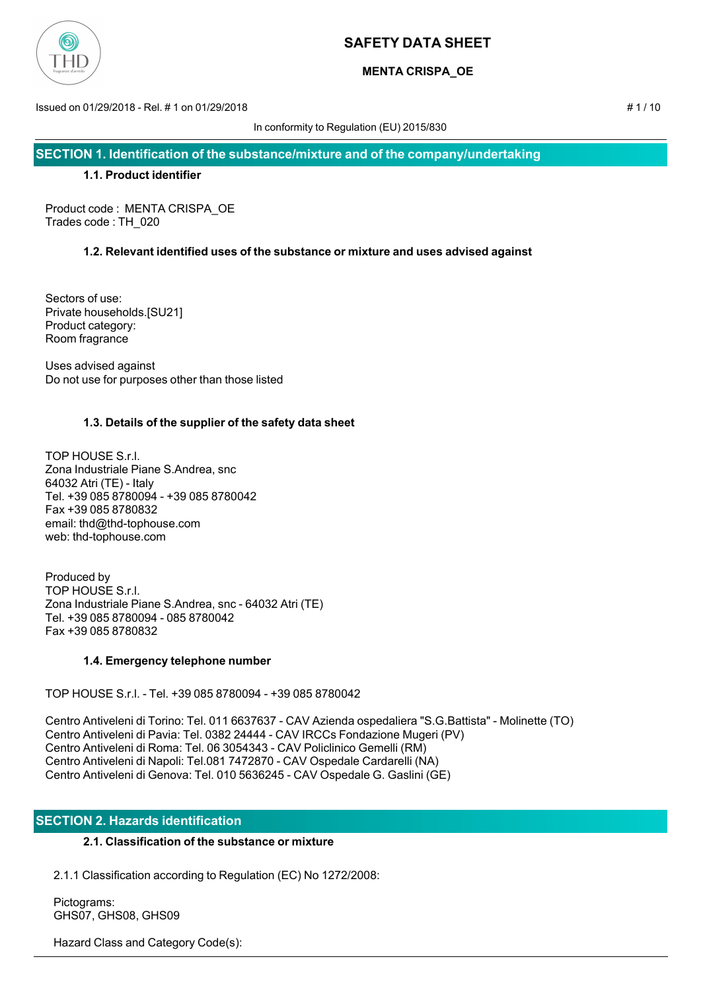

## **MENTA CRISPA\_OE**

Issued on 01/29/2018 - Rel. # 1 on 01/29/2018 # 1 / 10

In conformity to Regulation (EU) 2015/830

**SECTION 1. Identification of the substance/mixture and of the company/undertaking**

### **1.1. Product identifier**

Product code : MENTA CRISPA\_OE Trades code : TH\_020

## **1.2. Relevant identified uses of the substance or mixture and uses advised against**

Sectors of use: Private households.[SU21] Product category: Room fragrance

Uses advised against Do not use for purposes other than those listed

## **1.3. Details of the supplier of the safety data sheet**

TOP HOUSE S.r.l. Zona Industriale Piane S.Andrea, snc 64032 Atri (TE) - Italy Tel. +39 085 8780094 - +39 085 8780042 Fax +39 085 8780832 email: thd@thd-tophouse.com web: thd-tophouse.com

Produced by TOP HOUSE S.r.l. Zona Industriale Piane S.Andrea, snc - 64032 Atri (TE) Tel. +39 085 8780094 - 085 8780042 Fax +39 085 8780832

## **1.4. Emergency telephone number**

TOP HOUSE S.r.l. - Tel. +39 085 8780094 - +39 085 8780042

Centro Antiveleni di Torino: Tel. 011 6637637 - CAV Azienda ospedaliera "S.G.Battista" - Molinette (TO) Centro Antiveleni di Pavia: Tel. 0382 24444 - CAV IRCCs Fondazione Mugeri (PV) Centro Antiveleni di Roma: Tel. 06 3054343 - CAV Policlinico Gemelli (RM) Centro Antiveleni di Napoli: Tel.081 7472870 - CAV Ospedale Cardarelli (NA) Centro Antiveleni di Genova: Tel. 010 5636245 - CAV Ospedale G. Gaslini (GE)

## **SECTION 2. Hazards identification**

## **2.1. Classification of the substance or mixture**

2.1.1 Classification according to Regulation (EC) No 1272/2008:

 Pictograms: GHS07, GHS08, GHS09

Hazard Class and Category Code(s):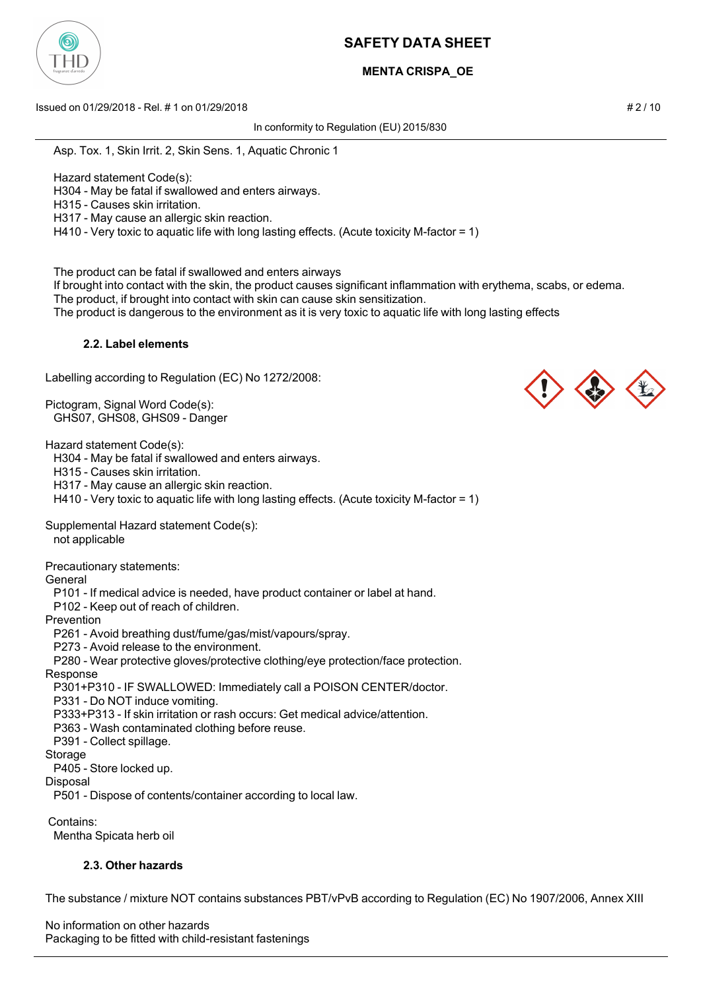

# **MENTA CRISPA\_OE**

Issued on 01/29/2018 - Rel. # 1 on 01/29/2018 # 2 / 10

In conformity to Regulation (EU) 2015/830

Asp. Tox. 1, Skin Irrit. 2, Skin Sens. 1, Aquatic Chronic 1

Hazard statement Code(s):

H304 - May be fatal if swallowed and enters airways.

H315 - Causes skin irritation.

H317 - May cause an allergic skin reaction.

H410 - Very toxic to aquatic life with long lasting effects. (Acute toxicity M-factor = 1)

The product can be fatal if swallowed and enters airways

If brought into contact with the skin, the product causes significant inflammation with erythema, scabs, or edema.

The product, if brought into contact with skin can cause skin sensitization.

The product is dangerous to the environment as it is very toxic to aquatic life with long lasting effects

### **2.2. Label elements**

Labelling according to Regulation (EC) No 1272/2008:

Pictogram, Signal Word Code(s): GHS07, GHS08, GHS09 - Danger

Hazard statement Code(s):

H304 - May be fatal if swallowed and enters airways.

H315 - Causes skin irritation.

H317 - May cause an allergic skin reaction.

H410 - Very toxic to aquatic life with long lasting effects. (Acute toxicity M-factor = 1)

Supplemental Hazard statement Code(s):

not applicable

Precautionary statements:

General

P101 - If medical advice is needed, have product container or label at hand.

P102 - Keep out of reach of children.

Prevention

P261 - Avoid breathing dust/fume/gas/mist/vapours/spray.

P273 - Avoid release to the environment.

P280 - Wear protective gloves/protective clothing/eye protection/face protection.

### Response

P301+P310 - IF SWALLOWED: Immediately call a POISON CENTER/doctor.

P331 - Do NOT induce vomiting.

P333+P313 - If skin irritation or rash occurs: Get medical advice/attention.

P363 - Wash contaminated clothing before reuse.

P391 - Collect spillage.

#### Storage

P405 - Store locked up.

**Disposal** 

P501 - Dispose of contents/container according to local law.

 Contains: Mentha Spicata herb oil

# **2.3. Other hazards**

The substance / mixture NOT contains substances PBT/vPvB according to Regulation (EC) No 1907/2006, Annex XIII

No information on other hazards Packaging to be fitted with child-resistant fastenings



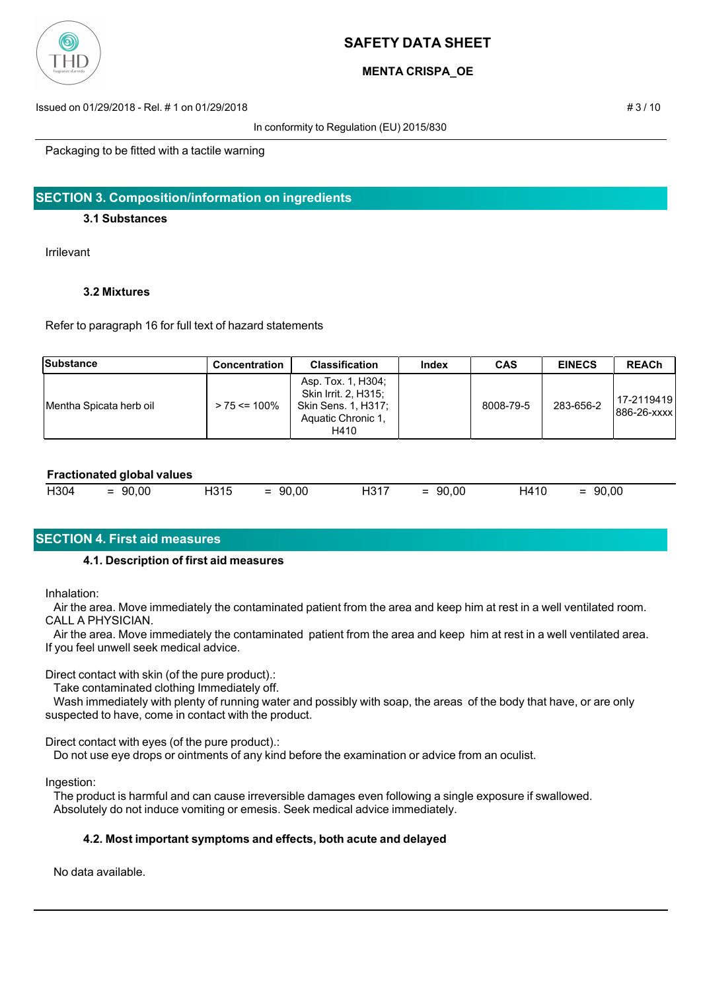

### **MENTA CRISPA\_OE**

Issued on 01/29/2018 - Rel. # 1 on 01/29/2018 # 3 / 10

In conformity to Regulation (EU) 2015/830

Packaging to be fitted with a tactile warning

### **SECTION 3. Composition/information on ingredients**

### **3.1 Substances**

Irrilevant

### **3.2 Mixtures**

Refer to paragraph 16 for full text of hazard statements

| Substance                | <b>Concentration</b> | <b>Classification</b>                                                                           | Index | <b>CAS</b> | <b>EINECS</b> | <b>REACh</b>                  |
|--------------------------|----------------------|-------------------------------------------------------------------------------------------------|-------|------------|---------------|-------------------------------|
| IMentha Spicata herb oil | $> 75 \le 100\%$     | Asp. Tox. 1, H304;<br>Skin Irrit. 2, H315;<br>Skin Sens. 1. H317:<br>Aquatic Chronic 1.<br>H410 |       | 8008-79-5  | 283-656-2     | 17-2119419  <br>1886-26-xxxx1 |

#### **Fractionated global values**

| H304<br>H315<br>90,00<br>00,<br>90,00<br>90<br>H410<br>$\sim$<br>_<br>$\overline{\phantom{0}}$<br>$\overline{\phantom{0}}$<br>$\overline{\phantom{a}}$<br>_<br>_ | 90,00<br><b>H317</b> |
|------------------------------------------------------------------------------------------------------------------------------------------------------------------|----------------------|
|------------------------------------------------------------------------------------------------------------------------------------------------------------------|----------------------|

## **SECTION 4. First aid measures**

### **4.1. Description of first aid measures**

Inhalation:

 Air the area. Move immediately the contaminated patient from the area and keep him at rest in a well ventilated room. CALL A PHYSICIAN.

 Air the area. Move immediately the contaminated patient from the area and keep him at rest in a well ventilated area. If you feel unwell seek medical advice.

Direct contact with skin (of the pure product).:

Take contaminated clothing Immediately off.

 Wash immediately with plenty of running water and possibly with soap, the areas of the body that have, or are only suspected to have, come in contact with the product.

Direct contact with eyes (of the pure product).:

Do not use eye drops or ointments of any kind before the examination or advice from an oculist.

Ingestion:

 The product is harmful and can cause irreversible damages even following a single exposure if swallowed. Absolutely do not induce vomiting or emesis. Seek medical advice immediately.

### **4.2. Most important symptoms and effects, both acute and delayed**

No data available.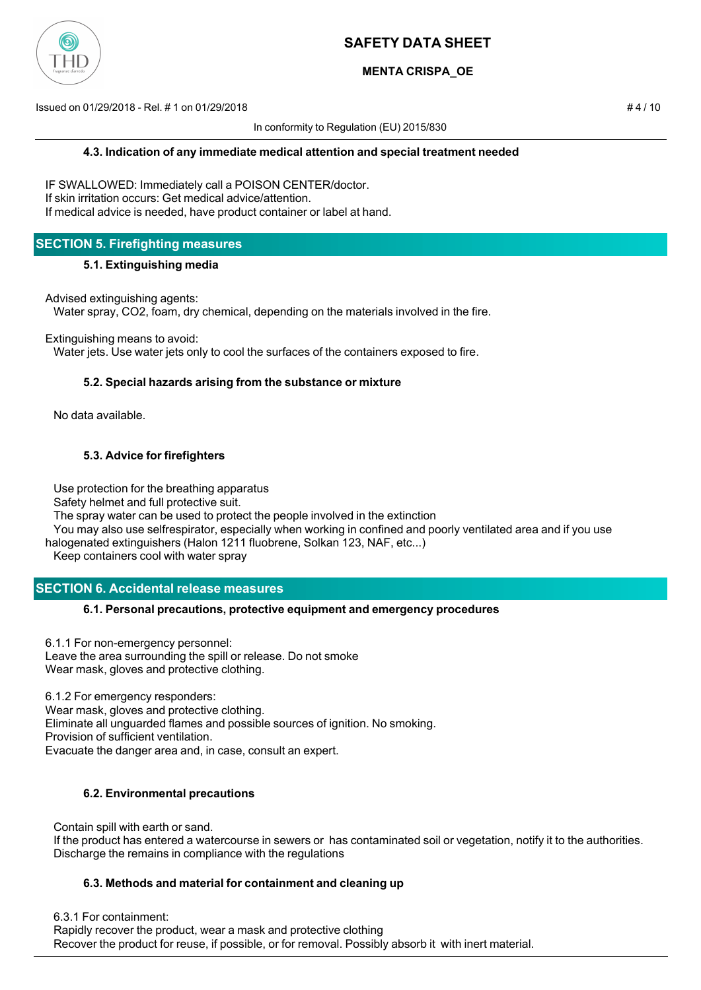

## **MENTA CRISPA\_OE**

Issued on 01/29/2018 - Rel. # 1 on 01/29/2018 # 4 / 10

In conformity to Regulation (EU) 2015/830

IF SWALLOWED: Immediately call a POISON CENTER/doctor. If skin irritation occurs: Get medical advice/attention. If medical advice is needed, have product container or label at hand.

## **SECTION 5. Firefighting measures**

#### **5.1. Extinguishing media**

Advised extinguishing agents:

Water spray, CO2, foam, dry chemical, depending on the materials involved in the fire.

Extinguishing means to avoid:

Water jets. Use water jets only to cool the surfaces of the containers exposed to fire.

### **5.2. Special hazards arising from the substance or mixture**

No data available.

### **5.3. Advice for firefighters**

Use protection for the breathing apparatus

Safety helmet and full protective suit.

The spray water can be used to protect the people involved in the extinction

 You may also use selfrespirator, especially when working in confined and poorly ventilated area and if you use halogenated extinguishers (Halon 1211 fluobrene, Solkan 123, NAF, etc...)

Keep containers cool with water spray

## **SECTION 6. Accidental release measures**

### **6.1. Personal precautions, protective equipment and emergency procedures**

6.1.1 For non-emergency personnel: Leave the area surrounding the spill or release. Do not smoke Wear mask, gloves and protective clothing.

6.1.2 For emergency responders: Wear mask, gloves and protective clothing. Eliminate all unguarded flames and possible sources of ignition. No smoking. Provision of sufficient ventilation. Evacuate the danger area and, in case, consult an expert.

### **6.2. Environmental precautions**

 Contain spill with earth or sand. If the product has entered a watercourse in sewers or has contaminated soil or vegetation, notify it to the authorities. Discharge the remains in compliance with the regulations

### **6.3. Methods and material for containment and cleaning up**

6.3.1 For containment:

 Rapidly recover the product, wear a mask and protective clothing Recover the product for reuse, if possible, or for removal. Possibly absorb it with inert material.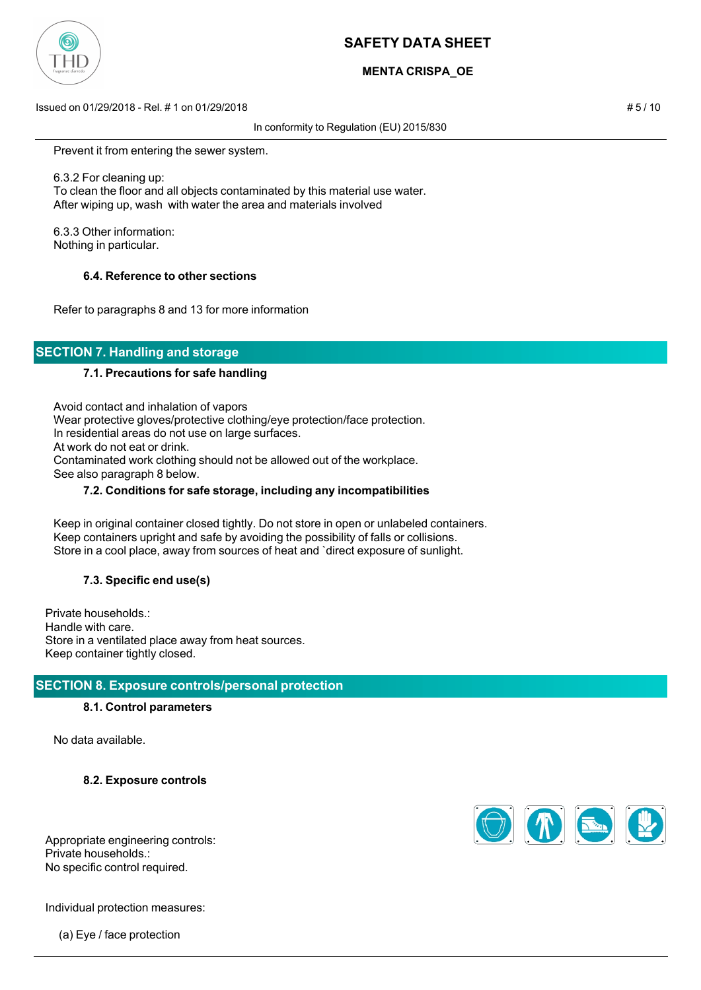

# **MENTA CRISPA\_OE**

Issued on 01/29/2018 - Rel. # 1 on 01/29/2018 # 5 / 10

In conformity to Regulation (EU) 2015/830

Prevent it from entering the sewer system.

 6.3.2 For cleaning up: To clean the floor and all objects contaminated by this material use water. After wiping up, wash with water the area and materials involved

 6.3.3 Other information: Nothing in particular.

#### **6.4. Reference to other sections**

Refer to paragraphs 8 and 13 for more information

# **SECTION 7. Handling and storage**

#### **7.1. Precautions for safe handling**

 Avoid contact and inhalation of vapors Wear protective gloves/protective clothing/eye protection/face protection. In residential areas do not use on large surfaces. At work do not eat or drink. Contaminated work clothing should not be allowed out of the workplace. See also paragraph 8 below.

#### **7.2. Conditions for safe storage, including any incompatibilities**

 Keep in original container closed tightly. Do not store in open or unlabeled containers. Keep containers upright and safe by avoiding the possibility of falls or collisions. Store in a cool place, away from sources of heat and `direct exposure of sunlight.

### **7.3. Specific end use(s)**

Private households.: Handle with care. Store in a ventilated place away from heat sources. Keep container tightly closed.

### **SECTION 8. Exposure controls/personal protection**

#### **8.1. Control parameters**

No data available.

**8.2. Exposure controls**



Appropriate engineering controls: Private households.: No specific control required.

Individual protection measures:

(a) Eye / face protection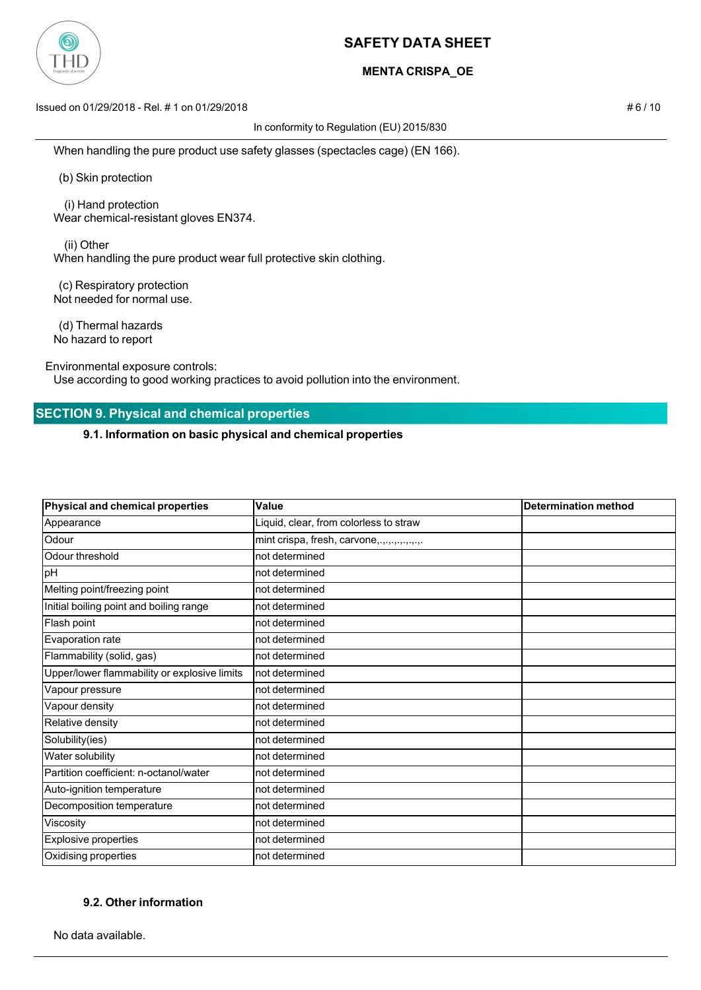

## **MENTA CRISPA\_OE**

Issued on 01/29/2018 - Rel. # 1 on 01/29/2018 # 6 / 10

In conformity to Regulation (EU) 2015/830

When handling the pure product use safety glasses (spectacles cage) (EN 166).

(b) Skin protection

 (i) Hand protection Wear chemical-resistant gloves EN374.

 (ii) Other When handling the pure product wear full protective skin clothing.

 (c) Respiratory protection Not needed for normal use.

 (d) Thermal hazards No hazard to report

Environmental exposure controls:

Use according to good working practices to avoid pollution into the environment.

### **SECTION 9. Physical and chemical properties**

**9.1. Information on basic physical and chemical properties**

| Physical and chemical properties             | Value                                  | <b>Determination method</b> |
|----------------------------------------------|----------------------------------------|-----------------------------|
| Appearance                                   | Liquid, clear, from colorless to straw |                             |
| Odour                                        | mint crispa, fresh, carvone,           |                             |
| Odour threshold                              | not determined                         |                             |
| pH                                           | not determined                         |                             |
| Melting point/freezing point                 | not determined                         |                             |
| Initial boiling point and boiling range      | not determined                         |                             |
| Flash point                                  | not determined                         |                             |
| Evaporation rate                             | not determined                         |                             |
| Flammability (solid, gas)                    | not determined                         |                             |
| Upper/lower flammability or explosive limits | not determined                         |                             |
| Vapour pressure                              | not determined                         |                             |
| Vapour density                               | not determined                         |                             |
| Relative density                             | not determined                         |                             |
| Solubility(ies)                              | not determined                         |                             |
| Water solubility                             | not determined                         |                             |
| Partition coefficient: n-octanol/water       | not determined                         |                             |
| Auto-ignition temperature                    | not determined                         |                             |
| Decomposition temperature                    | not determined                         |                             |
| Viscosity                                    | not determined                         |                             |
| <b>Explosive properties</b>                  | not determined                         |                             |
| Oxidising properties                         | not determined                         |                             |

### **9.2. Other information**

No data available.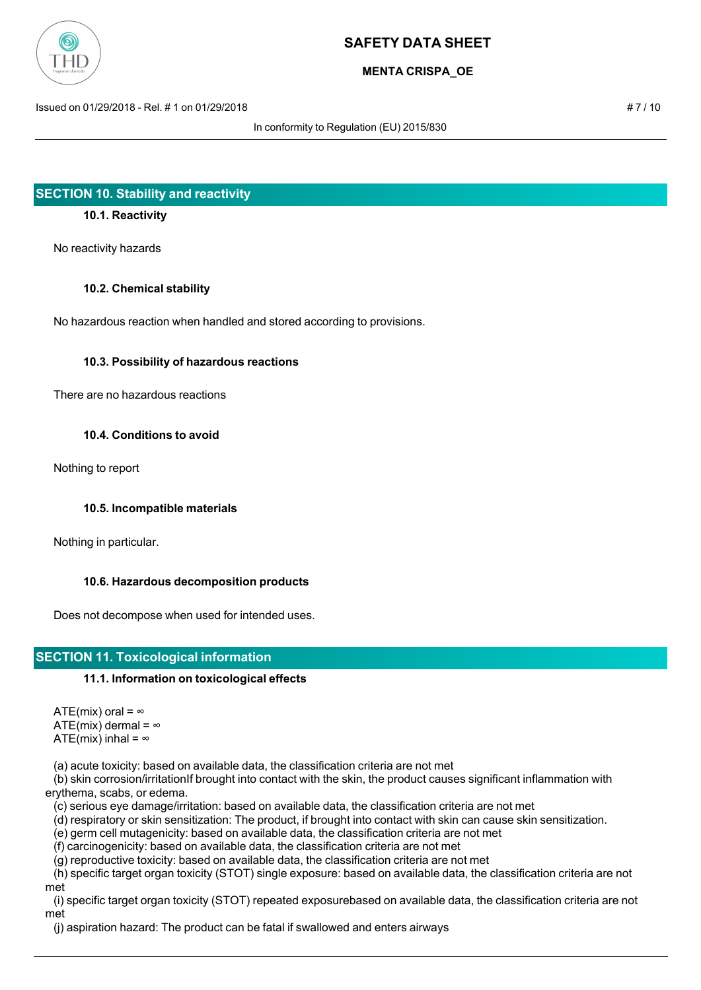

## **MENTA CRISPA\_OE**

Issued on 01/29/2018 - Rel. # 1 on 01/29/2018 # 7 / 10

In conformity to Regulation (EU) 2015/830

### **SECTION 10. Stability and reactivity**

### **10.1. Reactivity**

No reactivity hazards

#### **10.2. Chemical stability**

No hazardous reaction when handled and stored according to provisions.

#### **10.3. Possibility of hazardous reactions**

There are no hazardous reactions

#### **10.4. Conditions to avoid**

Nothing to report

### **10.5. Incompatible materials**

Nothing in particular.

### **10.6. Hazardous decomposition products**

Does not decompose when used for intended uses.

## **SECTION 11. Toxicological information**

### **11.1. Information on toxicological effects**

ATE(mix) oral =  $\infty$ ATE(mix) dermal =  $\infty$ ATE(mix) inhal =  $\infty$ 

(a) acute toxicity: based on available data, the classification criteria are not met

 (b) skin corrosion/irritationIf brought into contact with the skin, the product causes significant inflammation with erythema, scabs, or edema.

(c) serious eye damage/irritation: based on available data, the classification criteria are not met

(d) respiratory or skin sensitization: The product, if brought into contact with skin can cause skin sensitization.

(e) germ cell mutagenicity: based on available data, the classification criteria are not met

(f) carcinogenicity: based on available data, the classification criteria are not met

(g) reproductive toxicity: based on available data, the classification criteria are not met

 (h) specific target organ toxicity (STOT) single exposure: based on available data, the classification criteria are not met

 (i) specific target organ toxicity (STOT) repeated exposurebased on available data, the classification criteria are not met

(j) aspiration hazard: The product can be fatal if swallowed and enters airways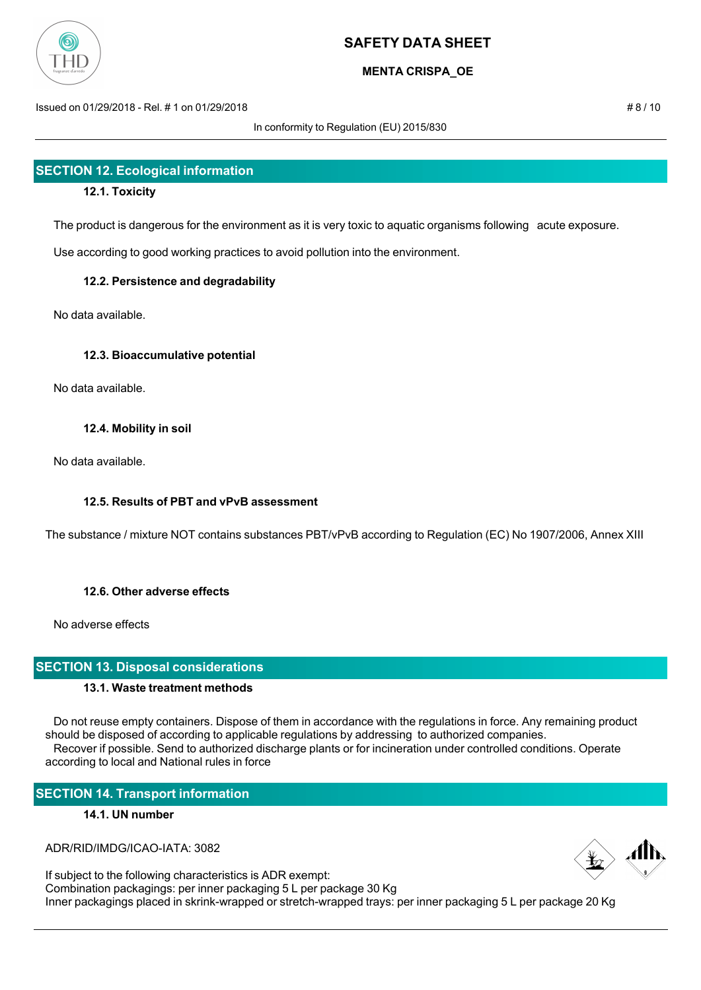

## **MENTA CRISPA\_OE**

Issued on 01/29/2018 - Rel. # 1 on 01/29/2018 # 8 / 10

In conformity to Regulation (EU) 2015/830

# **SECTION 12. Ecological information**

### **12.1. Toxicity**

The product is dangerous for the environment as it is very toxic to aquatic organisms following acute exposure.

Use according to good working practices to avoid pollution into the environment.

### **12.2. Persistence and degradability**

No data available.

### **12.3. Bioaccumulative potential**

No data available.

### **12.4. Mobility in soil**

No data available.

### **12.5. Results of PBT and vPvB assessment**

The substance / mixture NOT contains substances PBT/vPvB according to Regulation (EC) No 1907/2006, Annex XIII

## **12.6. Other adverse effects**

No adverse effects

### **SECTION 13. Disposal considerations**

### **13.1. Waste treatment methods**

 Do not reuse empty containers. Dispose of them in accordance with the regulations in force. Any remaining product should be disposed of according to applicable regulations by addressing to authorized companies. Recover if possible. Send to authorized discharge plants or for incineration under controlled conditions. Operate according to local and National rules in force

## **SECTION 14. Transport information**

### **14.1. UN number**

ADR/RID/IMDG/ICAO-IATA: 3082

If subject to the following characteristics is ADR exempt: Combination packagings: per inner packaging 5 L per package 30 Kg Inner packagings placed in skrink-wrapped or stretch-wrapped trays: per inner packaging 5 L per package 20 Kg

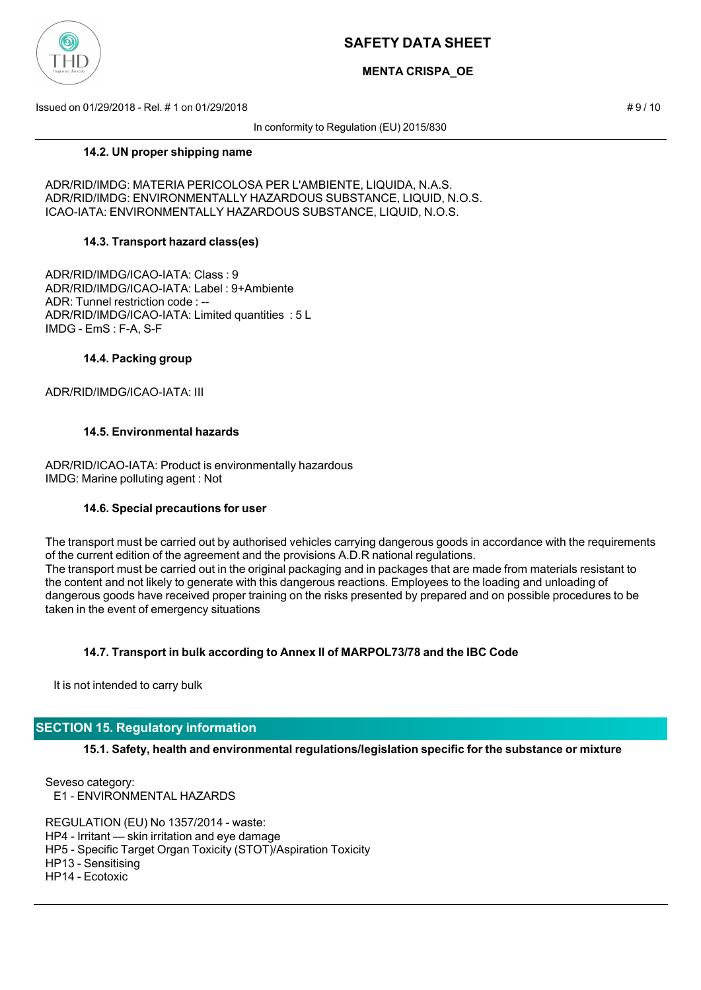

## **MENTA CRISPA\_OE**

Issued on 01/29/2018 - Rel. # 1 on 01/29/2018 # 9 / 10

In conformity to Regulation (EU) 2015/830

#### **14.2. UN proper shipping name**

ADR/RID/IMDG: MATERIA PERICOLOSA PER L'AMBIENTE, LIQUIDA, N.A.S. ADR/RID/IMDG: ENVIRONMENTALLY HAZARDOUS SUBSTANCE, LIQUID, N.O.S. ICAO-IATA: ENVIRONMENTALLY HAZARDOUS SUBSTANCE, LIQUID, N.O.S.

### **14.3. Transport hazard class(es)**

ADR/RID/IMDG/ICAO-IATA: Class : 9 ADR/RID/IMDG/ICAO-IATA: Label : 9+Ambiente ADR: Tunnel restriction code : -- ADR/RID/IMDG/ICAO-IATA: Limited quantities : 5 L IMDG - EmS : F-A, S-F

#### **14.4. Packing group**

ADR/RID/IMDG/ICAO-IATA: III

### **14.5. Environmental hazards**

ADR/RID/ICAO-IATA: Product is environmentally hazardous IMDG: Marine polluting agent : Not

#### **14.6. Special precautions for user**

The transport must be carried out by authorised vehicles carrying dangerous goods in accordance with the requirements of the current edition of the agreement and the provisions A.D.R national regulations. The transport must be carried out in the original packaging and in packages that are made from materials resistant to the content and not likely to generate with this dangerous reactions. Employees to the loading and unloading of dangerous goods have received proper training on the risks presented by prepared and on possible procedures to be taken in the event of emergency situations

### **14.7. Transport in bulk according to Annex II of MARPOL73/78 and the IBC Code**

It is not intended to carry bulk

### **SECTION 15. Regulatory information**

**15.1. Safety, health and environmental regulations/legislation specific for the substance or mixture**

Seveso category: E1 - ENVIRONMENTAL HAZARDS

REGULATION (EU) No 1357/2014 - waste: HP4 - Irritant — skin irritation and eye damage HP5 - Specific Target Organ Toxicity (STOT)/Aspiration Toxicity HP13 - Sensitising HP14 - Ecotoxic